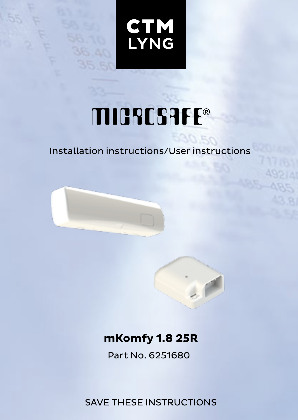**CTM**<br>LYNG

## **MICROSAFE®**

## Installation instructions/User instructions



## **mKomfy 1.8 25R**

Part No. 6251680

SAVE THESE INSTRUCTIONS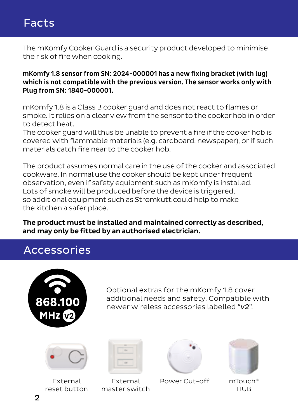## Facts

The mKomfy Cooker Guard is a security product developed to minimise the risk of fire when cooking.

mKomfy 1.8 sensor from SN: 2024-000001 has a new fixing bracket (with lug) which is not compatible with the previous version. The sensor works only with Plug from SN: 1840-000001.

mKomfy 1.8 is a Class B cooker guard and does not react to flames or smoke. It relies on a clear view from the sensor to the cooker hob in order to detect heat.

The cooker guard will thus be unable to prevent a fire if the cooker hob is covered with flammable materials (e.g. cardboard, newspaper), or if such materials catch fire near to the cooker hob.

The product assumes normal care in the use of the cooker and associated cookware. In normal use the cooker should be kept under frequent observation, even if safety equipment such as mKomfy is installed. Lots of smoke will be produced before the device is triggered, so additional equipment such as Strømkutt could help to make the kitchen a safer place.

The product must be installed and maintained correctly as described, and may only be fitted by an authorised electrician.

## Accessories



Optional extras for the mKomfy 1.8 cover additional needs and safety. Compatible with newer wireless accessories labelled "*v2*".



External reset button

External master switch



Power Cut-off



mTouch® HUB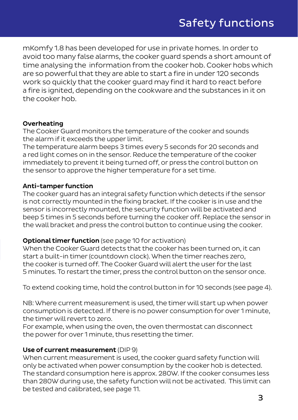mKomfy 1.8 has been developed for use in private homes. In order to avoid too many false alarms, the cooker guard spends a short amount of time analysing the information from the cooker hob. Cooker hobs which are so powerful that they are able to start a fire in under 120 seconds work so quickly that the cooker guard may find it hard to react before a fire is ignited, depending on the cookware and the substances in it on the cooker hob.

#### Overheating

The Cooker Guard monitors the temperature of the cooker and sounds the alarm if it exceeds the upper limit.

The temperature alarm beeps 3 times every 5 seconds for 20 seconds and a red light comes on in the sensor. Reduce the temperature of the cooker immediately to prevent it being turned off, or press the control button on the sensor to approve the higher temperature for a set time.

#### Anti-tamper function

The cooker guard has an integral safety function which detects if the sensor is not correctly mounted in the fixing bracket. If the cooker is in use and the sensor is incorrectly mounted, the security function will be activated and beep 5 times in 5 seconds before turning the cooker off. Replace the sensor in the wall bracket and press the control button to continue using the cooker.

#### Optional timer function (see page 10 for activation)

When the Cooker Guard detects that the cooker has been turned on, it can start a built-in timer (countdown clock). When the timer reaches zero, the cooker is turned off. The Cooker Guard will alert the user for the last 5 minutes. To restart the timer, press the control button on the sensor once.

To extend cooking time, hold the control button in for 10 seconds (see page 4).

NB: Where current measurement is used, the timer will start up when power consumption is detected. If there is no power consumption for over 1 minute, the timer will revert to zero.

For example, when using the oven, the oven thermostat can disconnect the power for over 1 minute, thus resetting the timer.

#### Use of current measurement (DIP 9)

When current measurement is used, the cooker guard safety function will only be activated when power consumption by the cooker hob is detected. The standard consumption here is approx. 280W. If the cooker consumes less than 280W during use, the safety function will not be activated. This limit can be tested and calibrated, see page 11.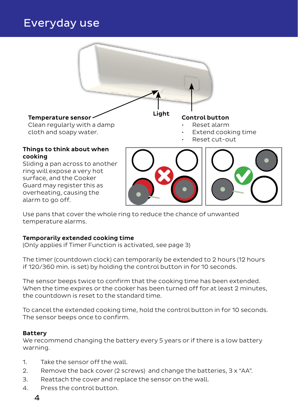## Everyday use



Use pans that cover the whole ring to reduce the chance of unwanted temperature alarms.

#### Temporarily extended cooking time

(Only applies if Timer Function is activated, see page 3)

The timer (countdown clock) can temporarily be extended to 2 hours (12 hours if 120/360 min. is set) by holding the control button in for 10 seconds.

The sensor beeps twice to confirm that the cooking time has been extended. When the time expires or the cooker has been turned off for at least 2 minutes. the countdown is reset to the standard time.

To cancel the extended cooking time, hold the control button in for 10 seconds. The sensor beeps once to confirm.

#### Battery

We recommend changing the battery every 5 years or if there is a low battery warning.

- 1. Take the sensor off the wall.
- 2. Remove the back cover (2 screws) and change the batteries, 3 x "AA".
- 3. Reattach the cover and replace the sensor on the wall.
- 4. Press the control button.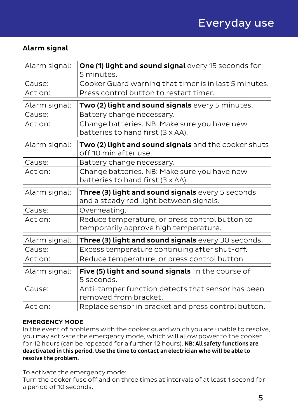#### Alarm signal

| Alarm signal: | One (1) light and sound signal every 15 seconds for<br>5 minutes.             |  |
|---------------|-------------------------------------------------------------------------------|--|
| Cause:        | Cooker Guard warning that timer is in last 5 minutes.                         |  |
| Action:       | Press control button to restart timer.                                        |  |
|               |                                                                               |  |
| Alarm signal: | Two (2) light and sound signals every 5 minutes.                              |  |
| Cause:        | Battery change necessary.                                                     |  |
| Action:       | Change batteries. NB: Make sure you have new                                  |  |
|               | batteries to hand first (3 x AA).                                             |  |
| Alarm signal: | Two (2) light and sound signals and the cooker shuts<br>off 10 min after use. |  |
| Cause:        | Battery change necessary.                                                     |  |
| Action:       | Change batteries. NB: Make sure you have new                                  |  |
|               | batteries to hand first (3 x AA).                                             |  |
| Alarm signal: | Three (3) light and sound signals every 5 seconds                             |  |
|               |                                                                               |  |
|               | and a steady red light between signals.                                       |  |
| Cause:        | Overheating.                                                                  |  |
| Action:       | Reduce temperature, or press control button to                                |  |
|               | temporarily approve high temperature.                                         |  |
| Alarm signal: | Three (3) light and sound signals every 30 seconds.                           |  |
| Cause:        | Excess temperature continuing after shut-off.                                 |  |
| Action:       | Reduce temperature, or press control button.                                  |  |
| Alarm signal: | Five (5) light and sound signals in the course of<br>5 seconds.               |  |
| Cause:        | Anti-tamper function detects that sensor has been<br>removed from bracket.    |  |

#### EMERGENCY MODE

In the event of problems with the cooker guard which you are unable to resolve, you may activate the emergency mode, which will allow power to the cooker for 12 hours (can be repeated for a further 12 hours). NB: All safety functions are deactivated in this period. Use the time to contact an electrician who will be able to resolve the problem.

To activate the emergency mode:

Turn the cooker fuse off and on three times at intervals of at least 1 second for a period of 10 seconds.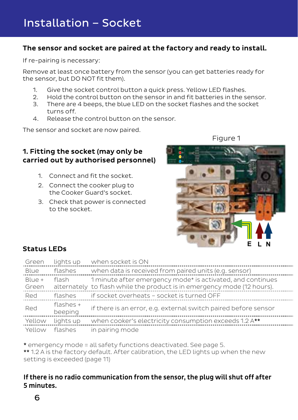#### The sensor and socket are paired at the factory and ready to install.

If re-pairing is necessary:

Remove at least once battery from the sensor (you can get batteries ready for the sensor, but DO NOT fit them).

- 1. Give the socket control button a quick press. Yellow LED flashes.
- 2. Hold the control button on the sensor in and fit batteries in the sensor.
- 3. There are 4 beeps, the blue LED on the socket flashes and the socket turns off.
- 4. Release the control button on the sensor.

The sensor and socket are now paired.

Figure 1

#### 1. Fitting the socket (may only be carried out by authorised personnel)

- 1. Connect and fit the socket.
- 2. Connect the cooker plug to the Cooker Guard's socket.
- 3. Check that power is connected to the socket.



#### Status LEDs

| Green  | lights up              | when socket is ON                                                       |
|--------|------------------------|-------------------------------------------------------------------------|
| Blue   | flashes                | when data is received from paired units (e.g. sensor)                   |
| Blue + | flash                  | 1 minute after emergency mode* is activated, and continues              |
| Green  |                        | alternately to flash while the product is in emergency mode (12 hours). |
| Red    | flashes                | if socket overheats - socket is turned OFF                              |
| Red    | flashes $+$<br>beeping | if there is an error, e.g. external switch paired before sensor         |
| Yellow | lights up              | when cooker's electricity consumption exceeds 1.2 A**                   |
| Yellow | flashes                | in pairing mode                                                         |

\* emergency mode = all safety functions deactivated. See page 5.

\*\* 1.2 A is the factory default. After calibration, the LED lights up when the new setting is exceeded (page 11)

#### If there is no radio communication from the sensor, the plug will shut off after 5 minutes.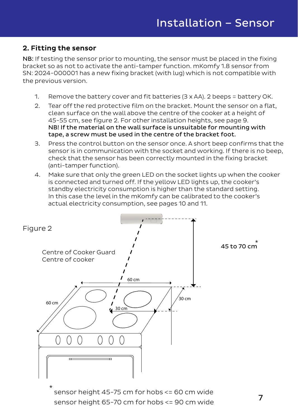#### 2. Fitting the sensor

NB: If testing the sensor prior to mounting, the sensor must be placed in the fixing bracket so as not to activate the anti-tamper function. mKomfy 1.8 sensor from SN: 2024-000001 has a new fixing bracket (with lug) which is not compatible with the previous version.

- 1. Remove the battery cover and fit batteries (3 x AA). 2 beeps = battery OK.
- 2. Tear off the red protective film on the bracket. Mount the sensor on a flat, clean surface on the wall above the centre of the cooker at a height of 45-55 cm, see figure 2. For other installation heights, see page 9. NB! If the material on the wall surface is unsuitable for mounting with tape, a screw must be used in the centre of the bracket foot.
- 3. Press the control button on the sensor once. A short beep confirms that the sensor is in communication with the socket and working. If there is no beep, check that the sensor has been correctly mounted in the fixing bracket (anti-tamper function).
- 4. Make sure that only the green LED on the socket lights up when the cooker is connected and turned off. If the yellow LED lights up, the cooker's standby electricity consumption is higher than the standard setting. In this case the level in the mKomfy can be calibrated to the cooker's actual electricity consumption, see pages 10 and 11.



sensor height 65-70 cm for hobs <= 90 cm wide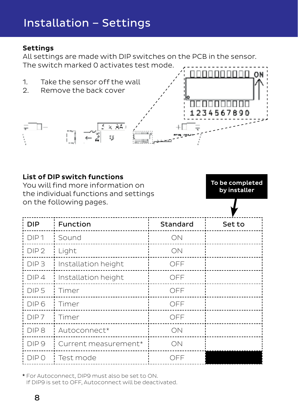## Installation – Settings

#### Settings

All settings are made with DIP switches on the PCB in the sensor. The switch marked 0 activates test mode.



| List of DIP switch functions<br>To be completed<br>You will find more information on<br>by installer<br>the individual functions and settings |                         |          |        |  |
|-----------------------------------------------------------------------------------------------------------------------------------------------|-------------------------|----------|--------|--|
|                                                                                                                                               | on the following pages. |          |        |  |
| <b>DIP</b>                                                                                                                                    | Function                | Standard | Set to |  |
| DIP <sub>1</sub>                                                                                                                              | Sound                   | ON       |        |  |
| DIP <sub>2</sub>                                                                                                                              | Light                   | ON       |        |  |
| DIP <sub>3</sub>                                                                                                                              | Installation height     | OFF      |        |  |
| DIP4                                                                                                                                          | Installation height     | OFF      |        |  |
| DIP <sub>5</sub>                                                                                                                              | Timer                   | OFF      |        |  |
| DIP 6                                                                                                                                         | Timer                   | OFF      |        |  |
| DIP <sub>7</sub>                                                                                                                              | Timer                   | OFF      |        |  |
| DIP <sub>8</sub>                                                                                                                              | Autoconnect*            | ON       |        |  |
| DIP <sub>9</sub>                                                                                                                              | Current measurement*    | OΝ       |        |  |
| DIP 0                                                                                                                                         | Test mode               | OFF      |        |  |

\* For Autoconnect, DIP9 must also be set to ON. If DIP9 is set to OFF, Autoconnect will be deactivated.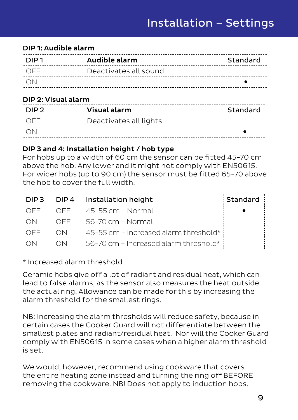#### DIP 1: Audible alarm

| 1 סוח ! | : Audible alarm       | : Standard |
|---------|-----------------------|------------|
| ∶∩FE    | Deactivates all sound |            |
|         |                       |            |

#### DIP 2: Visual alarm

| i DIP 2. | Visual alarm           | : Standard |
|----------|------------------------|------------|
| LOEE     | Deactivates all lights |            |
| ∄ ∩N     |                        |            |

#### DIP 3 and 4: Installation height / hob type

For hobs up to a width of 60 cm the sensor can be fitted 45-70 cm above the hob. Any lower and it might not comply with EN50615. For wider hobs (up to 90 cm) the sensor must be fitted 65-70 above the hob to cover the full width.

| ∶DIP 3 | i DIP 4 | Installation height                     | Standard |
|--------|---------|-----------------------------------------|----------|
| : OFF  | : OFF   | i 45-55 cm – Normal                     |          |
| : ON   | : OFF   | i 56-70 cm – Normal                     |          |
| : OFF  | ON      | 45-55 cm - Increased alarm threshold*   |          |
| I ON   | ' ON    | : 56-70 cm – Increased alarm threshold* |          |

#### \* Increased alarm threshold

Ceramic hobs give off a lot of radiant and residual heat, which can lead to false alarms, as the sensor also measures the heat outside the actual ring. Allowance can be made for this by increasing the alarm threshold for the smallest rings.

NB: Increasing the alarm thresholds will reduce safety, because in certain cases the Cooker Guard will not differentiate between the smallest plates and radiant/residual heat. Nor will the Cooker Guard comply with EN50615 in some cases when a higher alarm threshold is set.

We would, however, recommend using cookware that covers the entire heating zone instead and turning the ring off BEFORE removing the cookware. NB! Does not apply to induction hobs.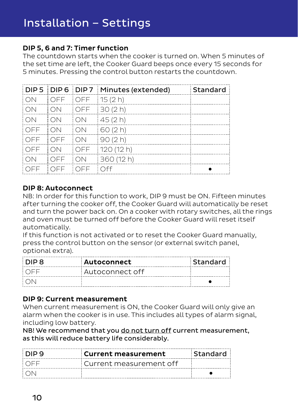#### DIP 5, 6 and 7: Timer function

The countdown starts when the cooker is turned on. When 5 minutes of the set time are left, the Cooker Guard beeps once every 15 seconds for 5 minutes. Pressing the control button restarts the countdown.

|       |       |       | DIP 5 DIP 6 DIP 7 Minutes (extended) | Standard |
|-------|-------|-------|--------------------------------------|----------|
| : ON  | † OFF | OFF.  | 15(2h)                               |          |
| i ON  | † ON  | OFF   | 30(2h)                               |          |
| : ON  | : ON  | : ON  | 45(2h)                               |          |
| : OFF | ON    | : ON  | (60(2h)                              |          |
| : OFF | OFF   | ON    | 190(2h)                              |          |
| i OFF | : ON  | i OFF | 120(12 h)                            |          |
| : ON  | : OFF | : ON  | 360 (12 h)                           |          |
| : OFF | OFF   | OFF   | ∶nff                                 |          |

#### DIP 8: Autoconnect

NB: In order for this function to work, DIP 9 must be ON. Fifteen minutes after turning the cooker off, the Cooker Guard will automatically be reset and turn the power back on. On a cooker with rotary switches, all the rings and oven must be turned off before the Cooker Guard will reset itself automatically.

If this function is not activated or to reset the Cooker Guard manually, press the control button on the sensor (or external switch panel, optional extra).

| ∶ DID 8 | Autoconnect     | : Standard |
|---------|-----------------|------------|
| ∶∩⊏⊏    | Autoconnect off |            |
|         |                 |            |

#### DIP 9: Current measurement

When current measurement is ON, the Cooker Guard will only give an alarm when the cooker is in use. This includes all types of alarm signal, including low battery.

NB! We recommend that you do not turn off current measurement, as this will reduce battery life considerably.

| ∶DIP 9 | <b>Current measurement</b> | : Standard |
|--------|----------------------------|------------|
| ∶∩⊏⊏   | : Current measurement off  |            |
|        |                            |            |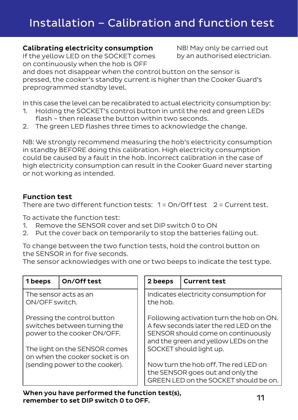## Installation – Calibration and function test

#### Calibrating electricity consumption

If the yellow LED on the SOCKET comes on continuously when the hob is OFF

NB! May only be carried out by an authorised electrician.

and does not disappear when the control button on the sensor is pressed, the cooker's standby current is higher than the Cooker Guard's preprogrammed standby level.

In this case the level can be recalibrated to actual electricity consumption by:

- 1. Holding the SOCKET's control button in until the red and green LEDs flash – then release the button within two seconds.
- 2. The green LED flashes three times to acknowledge the change.

NB: We strongly recommend measuring the hob's electricity consumption in standby BEFORE doing this calibration. High electricity consumption could be caused by a fault in the hob. Incorrect calibration in the case of high electricity consumption can result in the Cooker Guard never starting or not working as intended.

#### Function test

There are two different function tests:  $1 = On/O$  ff test.  $2 = Current$  test.

To activate the function test:

- 1. Remove the SENSOR cover and set DIP switch 0 to ON
- 2. Put the cover back on temporarily to stop the batteries falling out.

To change between the two function tests, hold the control button on the SENSOR in for five seconds.

The sensor acknowledges with one or two beeps to indicate the test type.

| 1 beeps                                                                                    | On/Off test | 2 beeps                                                                                                                                                          | <b>Current test</b>                                                                                               |
|--------------------------------------------------------------------------------------------|-------------|------------------------------------------------------------------------------------------------------------------------------------------------------------------|-------------------------------------------------------------------------------------------------------------------|
| The sensor acts as an<br>ON/OFF switch.                                                    |             | Indicates electricity consumption for<br>the hob.                                                                                                                |                                                                                                                   |
| Pressing the control button<br>switches between turning the<br>power to the cooker ON/OFF. |             | Following activation turn the hob on ON.<br>A few seconds later the red LED on the<br>SENSOR should come on continuously<br>and the green and yellow LEDs on the |                                                                                                                   |
| The light on the SENSOR comes<br>on when the cooker socket is on                           |             |                                                                                                                                                                  | SOCKET should light up.                                                                                           |
| (sending power to the cooker).                                                             |             |                                                                                                                                                                  | Now turn the hob off. The red LED on<br>the SENSOR goes out and only the<br>GREEN LED on the SOCKET should be on. |